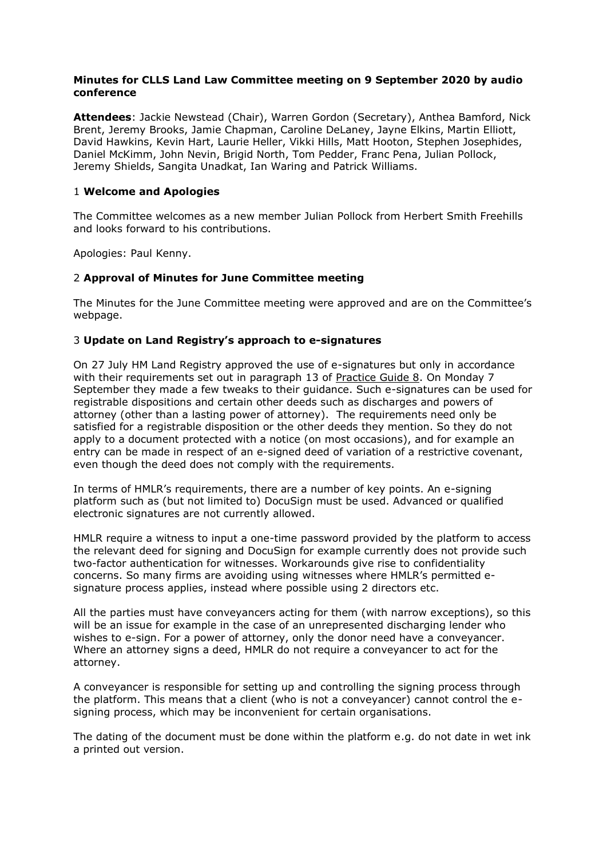## **Minutes for CLLS Land Law Committee meeting on 9 September 2020 by audio conference**

**Attendees**: Jackie Newstead (Chair), Warren Gordon (Secretary), Anthea Bamford, Nick Brent, Jeremy Brooks, Jamie Chapman, Caroline DeLaney, Jayne Elkins, Martin Elliott, David Hawkins, Kevin Hart, Laurie Heller, Vikki Hills, Matt Hooton, Stephen Josephides, Daniel McKimm, John Nevin, Brigid North, Tom Pedder, Franc Pena, Julian Pollock, Jeremy Shields, Sangita Unadkat, Ian Waring and Patrick Williams.

# 1 **Welcome and Apologies**

The Committee welcomes as a new member Julian Pollock from Herbert Smith Freehills and looks forward to his contributions.

Apologies: Paul Kenny.

## 2 **Approval of Minutes for June Committee meeting**

The Minutes for the June Committee meeting were approved and are on the Committee's webpage.

## 3 **Update on Land Registry's approach to e-signatures**

On 27 July HM Land Registry approved the use of e-signatures but only in accordance with their requirements set out in paragraph 13 of [Practice Guide 8.](https://www.gov.uk/government/publications/execution-of-deeds/practice-guide-8-execution-of-deeds) On Monday 7 September they made a few tweaks to their guidance. Such e-signatures can be used for registrable dispositions and certain other deeds such as discharges and powers of attorney (other than a lasting power of attorney). The requirements need only be satisfied for a registrable disposition or the other deeds they mention. So they do not apply to a document protected with a notice (on most occasions), and for example an entry can be made in respect of an e-signed deed of variation of a restrictive covenant, even though the deed does not comply with the requirements.

In terms of HMLR's requirements, there are a number of key points. An e-signing platform such as (but not limited to) DocuSign must be used. Advanced or qualified electronic signatures are not currently allowed.

HMLR require a witness to input a one-time password provided by the platform to access the relevant deed for signing and DocuSign for example currently does not provide such two-factor authentication for witnesses. Workarounds give rise to confidentiality concerns. So many firms are avoiding using witnesses where HMLR's permitted esignature process applies, instead where possible using 2 directors etc.

All the parties must have conveyancers acting for them (with narrow exceptions), so this will be an issue for example in the case of an unrepresented discharging lender who wishes to e-sign. For a power of attorney, only the donor need have a conveyancer. Where an attorney signs a deed, HMLR do not require a conveyancer to act for the attorney.

A conveyancer is responsible for setting up and controlling the signing process through the platform. This means that a client (who is not a conveyancer) cannot control the esigning process, which may be inconvenient for certain organisations.

The dating of the document must be done within the platform e.g. do not date in wet ink a printed out version.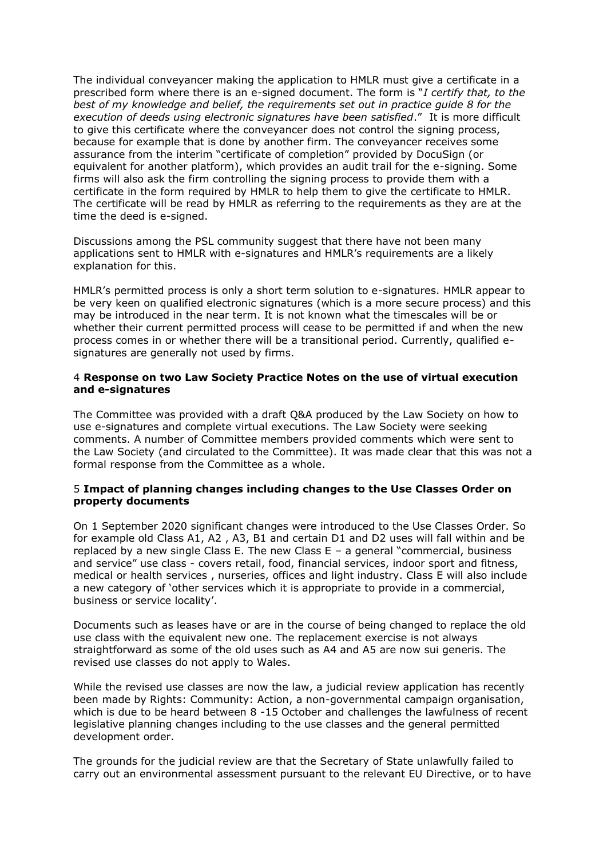The individual conveyancer making the application to HMLR must give a certificate in a prescribed form where there is an e-signed document. The form is "*I certify that, to the best of my knowledge and belief, the requirements set out in practice guide 8 for the execution of deeds using electronic signatures have been satisfied*." It is more difficult to give this certificate where the conveyancer does not control the signing process, because for example that is done by another firm. The conveyancer receives some assurance from the interim "certificate of completion" provided by DocuSign (or equivalent for another platform), which provides an audit trail for the e-signing. Some firms will also ask the firm controlling the signing process to provide them with a certificate in the form required by HMLR to help them to give the certificate to HMLR. The certificate will be read by HMLR as referring to the requirements as they are at the time the deed is e-signed.

Discussions among the PSL community suggest that there have not been many applications sent to HMLR with e-signatures and HMLR's requirements are a likely explanation for this.

HMLR's permitted process is only a short term solution to e-signatures. HMLR appear to be very keen on qualified electronic signatures (which is a more secure process) and this may be introduced in the near term. It is not known what the timescales will be or whether their current permitted process will cease to be permitted if and when the new process comes in or whether there will be a transitional period. Currently, qualified esignatures are generally not used by firms.

#### 4 **Response on two Law Society Practice Notes on the use of virtual execution and e-signatures**

The Committee was provided with a draft Q&A produced by the Law Society on how to use e-signatures and complete virtual executions. The Law Society were seeking comments. A number of Committee members provided comments which were sent to the Law Society (and circulated to the Committee). It was made clear that this was not a formal response from the Committee as a whole.

## 5 **Impact of planning changes including changes to the Use Classes Order on property documents**

On 1 September 2020 significant changes were introduced to the Use Classes Order. So for example old Class A1, A2 , A3, B1 and certain D1 and D2 uses will fall within and be replaced by a new single Class E. The new Class E – a general "commercial, business and service" use class - covers retail, food, financial services, indoor sport and fitness, medical or health services , nurseries, offices and light industry. Class E will also include a new category of 'other services which it is appropriate to provide in a commercial, business or service locality'.

Documents such as leases have or are in the course of being changed to replace the old use class with the equivalent new one. The replacement exercise is not always straightforward as some of the old uses such as A4 and A5 are now sui generis. The revised use classes do not apply to Wales.

While the revised use classes are now the law, a judicial review application has recently been made by Rights: Community: Action, a non-governmental campaign organisation, which is due to be heard between 8 -15 October and challenges the lawfulness of recent legislative planning changes including to the use classes and the general permitted development order.

The grounds for the judicial review are that the Secretary of State unlawfully failed to carry out an environmental assessment pursuant to the relevant EU Directive, or to have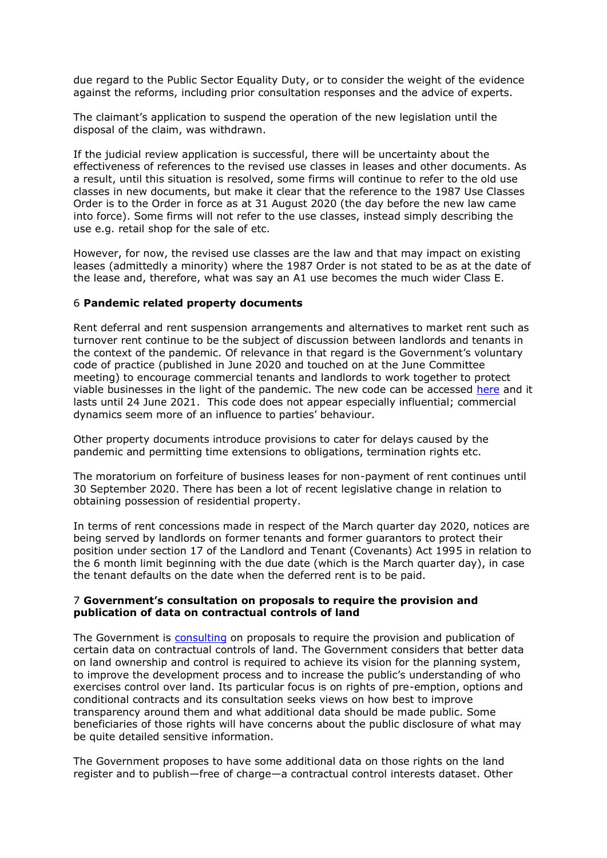due regard to the Public Sector Equality Duty, or to consider the weight of the evidence against the reforms, including prior consultation responses and the advice of experts.

The claimant's application to suspend the operation of the new legislation until the disposal of the claim, was withdrawn.

If the judicial review application is successful, there will be uncertainty about the effectiveness of references to the revised use classes in leases and other documents. As a result, until this situation is resolved, some firms will continue to refer to the old use classes in new documents, but make it clear that the reference to the 1987 Use Classes Order is to the Order in force as at 31 August 2020 (the day before the new law came into force). Some firms will not refer to the use classes, instead simply describing the use e.g. retail shop for the sale of etc.

However, for now, the revised use classes are the law and that may impact on existing leases (admittedly a minority) where the 1987 Order is not stated to be as at the date of the lease and, therefore, what was say an A1 use becomes the much wider Class E.

#### 6 **Pandemic related property documents**

Rent deferral and rent suspension arrangements and alternatives to market rent such as turnover rent continue to be the subject of discussion between landlords and tenants in the context of the pandemic. Of relevance in that regard is the Government's voluntary code of practice (published in June 2020 and touched on at the June Committee meeting) to encourage commercial tenants and landlords to work together to protect viable businesses in the light of the pandemic. The new code can be accessed [here](https://assets.publishing.service.gov.uk/government/uploads/system/uploads/attachment_data/file/897901/Code_of_Practice_for_commercial_property.pdf) and it lasts until 24 June 2021. This code does not appear especially influential; commercial dynamics seem more of an influence to parties' behaviour.

Other property documents introduce provisions to cater for delays caused by the pandemic and permitting time extensions to obligations, termination rights etc.

The moratorium on forfeiture of business leases for non-payment of rent continues until 30 September 2020. There has been a lot of recent legislative change in relation to obtaining possession of residential property.

In terms of rent concessions made in respect of the March quarter day 2020, notices are being served by landlords on former tenants and former guarantors to protect their position under section 17 of the Landlord and Tenant (Covenants) Act 1995 in relation to the 6 month limit beginning with the due date (which is the March quarter day), in case the tenant defaults on the date when the deferred rent is to be paid.

#### 7 **Government's consultation on proposals to require the provision and publication of data on contractual controls of land**

The Government is [consulting](https://assets.publishing.service.gov.uk/government/uploads/system/uploads/attachment_data/file/907213/Call_for_evidence_on_Contractual_Controls.pdf) on proposals to require the provision and publication of certain data on contractual controls of land. The Government considers that better data on land ownership and control is required to achieve its vision for the planning system, to improve the development process and to increase the public's understanding of who exercises control over land. Its particular focus is on rights of pre-emption, options and conditional contracts and its consultation seeks views on how best to improve transparency around them and what additional data should be made public. Some beneficiaries of those rights will have concerns about the public disclosure of what may be quite detailed sensitive information.

The Government proposes to have some additional data on those rights on the land register and to publish—free of charge—a contractual control interests dataset. Other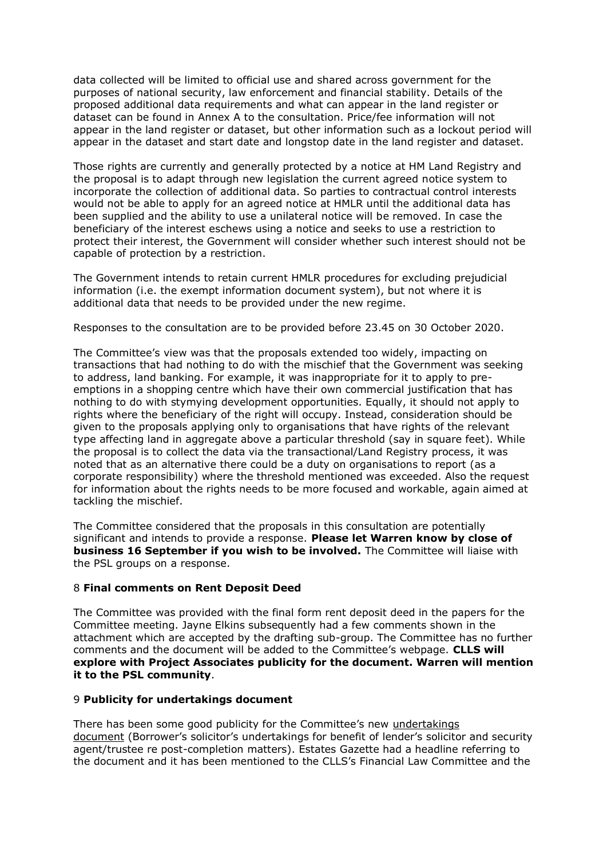data collected will be limited to official use and shared across government for the purposes of national security, law enforcement and financial stability. Details of the proposed additional data requirements and what can appear in the land register or dataset can be found in Annex A to the consultation. Price/fee information will not appear in the land register or dataset, but other information such as a lockout period will appear in the dataset and start date and longstop date in the land register and dataset.

Those rights are currently and generally protected by a notice at HM Land Registry and the proposal is to adapt through new legislation the current agreed notice system to incorporate the collection of additional data. So parties to contractual control interests would not be able to apply for an agreed notice at HMLR until the additional data has been supplied and the ability to use a unilateral notice will be removed. In case the beneficiary of the interest eschews using a notice and seeks to use a restriction to protect their interest, the Government will consider whether such interest should not be capable of protection by a restriction.

The Government intends to retain current HMLR procedures for excluding prejudicial information (i.e. the exempt information document system), but not where it is additional data that needs to be provided under the new regime.

Responses to the consultation are to be provided before 23.45 on 30 October 2020.

The Committee's view was that the proposals extended too widely, impacting on transactions that had nothing to do with the mischief that the Government was seeking to address, land banking. For example, it was inappropriate for it to apply to preemptions in a shopping centre which have their own commercial justification that has nothing to do with stymying development opportunities. Equally, it should not apply to rights where the beneficiary of the right will occupy. Instead, consideration should be given to the proposals applying only to organisations that have rights of the relevant type affecting land in aggregate above a particular threshold (say in square feet). While the proposal is to collect the data via the transactional/Land Registry process, it was noted that as an alternative there could be a duty on organisations to report (as a corporate responsibility) where the threshold mentioned was exceeded. Also the request for information about the rights needs to be more focused and workable, again aimed at tackling the mischief.

The Committee considered that the proposals in this consultation are potentially significant and intends to provide a response. **Please let Warren know by close of business 16 September if you wish to be involved.** The Committee will liaise with the PSL groups on a response.

# 8 **Final comments on Rent Deposit Deed**

The Committee was provided with the final form rent deposit deed in the papers for the Committee meeting. Jayne Elkins subsequently had a few comments shown in the attachment which are accepted by the drafting sub-group. The Committee has no further comments and the document will be added to the Committee's webpage. **CLLS will explore with Project Associates publicity for the document. Warren will mention it to the PSL community**.

## 9 **Publicity for undertakings document**

There has been some good publicity for the Committee's new [undertakings](http://www.citysolicitors.org.uk/clls/clls-precedent-documents/borrowers-solicitors-undertakings-for-benefit-of-lenders-solicitor-and-security-agent-trustee-re-post-completion-matters/)  [document](http://www.citysolicitors.org.uk/clls/clls-precedent-documents/borrowers-solicitors-undertakings-for-benefit-of-lenders-solicitor-and-security-agent-trustee-re-post-completion-matters/) (Borrower's solicitor's undertakings for benefit of lender's solicitor and security agent/trustee re post-completion matters). Estates Gazette had a headline referring to the document and it has been mentioned to the CLLS's Financial Law Committee and the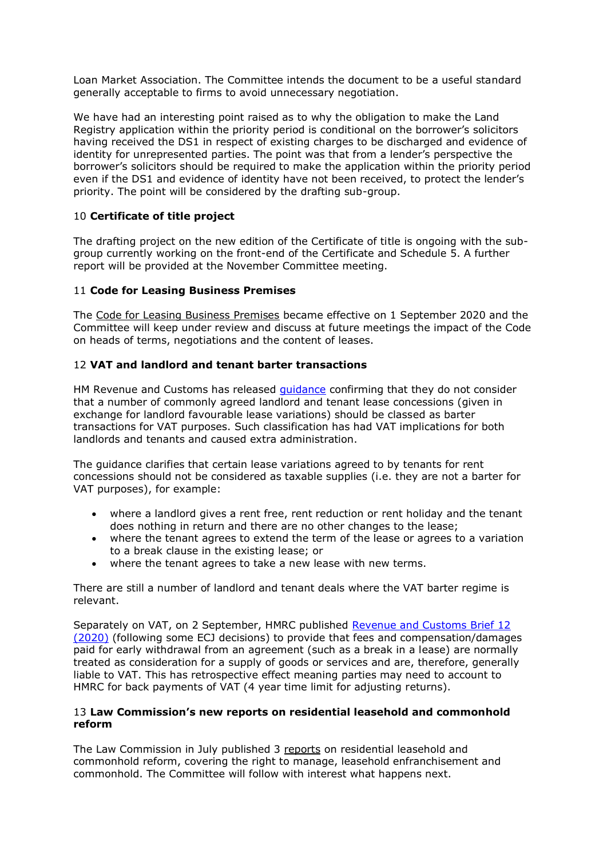Loan Market Association. The Committee intends the document to be a useful standard generally acceptable to firms to avoid unnecessary negotiation.

We have had an interesting point raised as to why the obligation to make the Land Registry application within the priority period is conditional on the borrower's solicitors having received the DS1 in respect of existing charges to be discharged and evidence of identity for unrepresented parties. The point was that from a lender's perspective the borrower's solicitors should be required to make the application within the priority period even if the DS1 and evidence of identity have not been received, to protect the lender's priority. The point will be considered by the drafting sub-group.

# 10 **Certificate of title project**

The drafting project on the new edition of the Certificate of title is ongoing with the subgroup currently working on the front-end of the Certificate and Schedule 5. A further report will be provided at the November Committee meeting.

# 11 **Code for Leasing Business Premises**

The [Code for Leasing Business Premises](https://www.rics.org/globalassets/code-for-leasing_ps-version_feb-2020-1.pdf) became effective on 1 September 2020 and the Committee will keep under review and discuss at future meetings the impact of the Code on heads of terms, negotiations and the content of leases.

# 12 **VAT and landlord and tenant barter transactions**

HM Revenue and Customs has released *[guidance](https://www.gov.uk/government/publications/revenue-and-customs-brief-11-2020-vat-and-stamp-duty-land-tax-when-existing-leases-between-landlords-and-tenants-are-varied/revenue-and-customs-brief-11-2020-vat-and-stamp-duty-land-tax-when-existing-leases-between-landlords-and-tenants-are-varied)* confirming that they do not consider that a number of commonly agreed landlord and tenant lease concessions (given in exchange for landlord favourable lease variations) should be classed as barter transactions for VAT purposes. Such classification has had VAT implications for both landlords and tenants and caused extra administration.

The guidance clarifies that certain lease variations agreed to by tenants for rent concessions should not be considered as taxable supplies (i.e. they are not a barter for VAT purposes), for example:

- where a landlord gives a rent free, rent reduction or rent holiday and the tenant does nothing in return and there are no other changes to the lease;
- where the tenant agrees to extend the term of the lease or agrees to a variation to a break clause in the existing lease; or
- where the tenant agrees to take a new lease with new terms.

There are still a number of landlord and tenant deals where the VAT barter regime is relevant.

Separately on VAT, on 2 September, HMRC published [Revenue and Customs Brief 12](https://www.gov.uk/government/publications/revenue-and-customs-brief-12-2020-vat-early-termination-fees-and-compensation-payments)  [\(2020\)](https://www.gov.uk/government/publications/revenue-and-customs-brief-12-2020-vat-early-termination-fees-and-compensation-payments) (following some ECJ decisions) to provide that fees and compensation/damages paid for early withdrawal from an agreement (such as a break in a lease) are normally treated as consideration for a supply of goods or services and are, therefore, generally liable to VAT. This has retrospective effect meaning parties may need to account to HMRC for back payments of VAT (4 year time limit for adjusting returns).

## 13 **Law Commission's new reports on residential leasehold and commonhold reform**

The Law Commission in July published 3 [reports](https://www.lawcom.gov.uk/project/residential-leasehold-and-commonhold/) on residential leasehold and commonhold reform, covering the right to manage, leasehold enfranchisement and commonhold. The Committee will follow with interest what happens next.